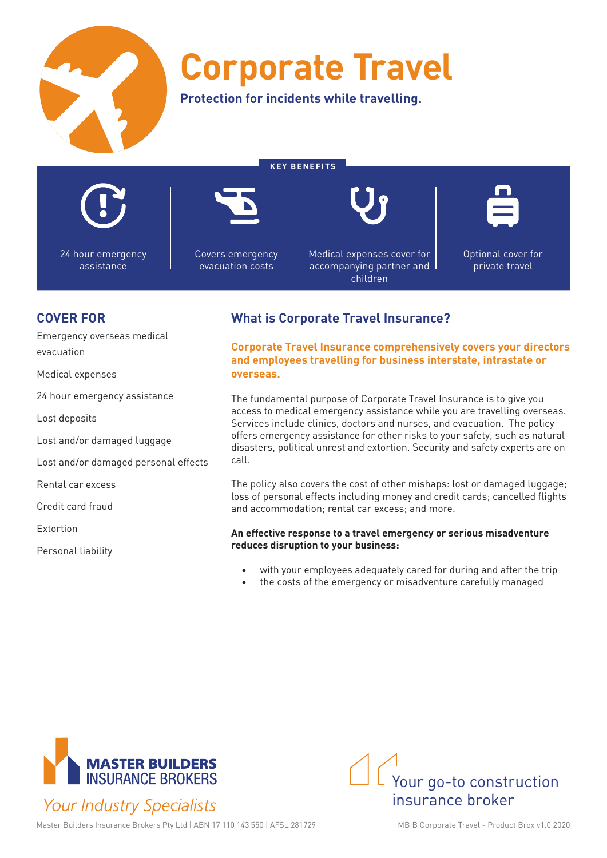

# **Corporate Travel**

**Protection for incidents while travelling.**

**KEY BENEFITS**



24 hour emergency assistance



Covers emergency evacuation costs

Medical expenses cover for accompanying partner and children



Optional cover for private travel

## **COVER FOR**

Emergency overseas medical evacuation

Medical expenses

24 hour emergency assistance

Lost deposits

Lost and/or damaged luggage

Lost and/or damaged personal effects

Rental car excess

Credit card fraud

Extortion

Personal liability

## **What is Corporate Travel Insurance?**

**Corporate Travel Insurance comprehensively covers your directors and employees travelling for business interstate, intrastate or overseas.**

The fundamental purpose of Corporate Travel Insurance is to give you access to medical emergency assistance while you are travelling overseas. Services include clinics, doctors and nurses, and evacuation. The policy offers emergency assistance for other risks to your safety, such as natural disasters, political unrest and extortion. Security and safety experts are on call.

The policy also covers the cost of other mishaps: lost or damaged luggage; loss of personal effects including money and credit cards; cancelled flights and accommodation; rental car excess; and more.

#### **An effective response to a travel emergency or serious misadventure reduces disruption to your business:**

- with your employees adequately cared for during and after the trip
- the costs of the emergency or misadventure carefully managed



Your go-to construction insurance broker

Master Builders Insurance Brokers Pty Ltd | ABN 17 110 143 550 | AFSL 281729